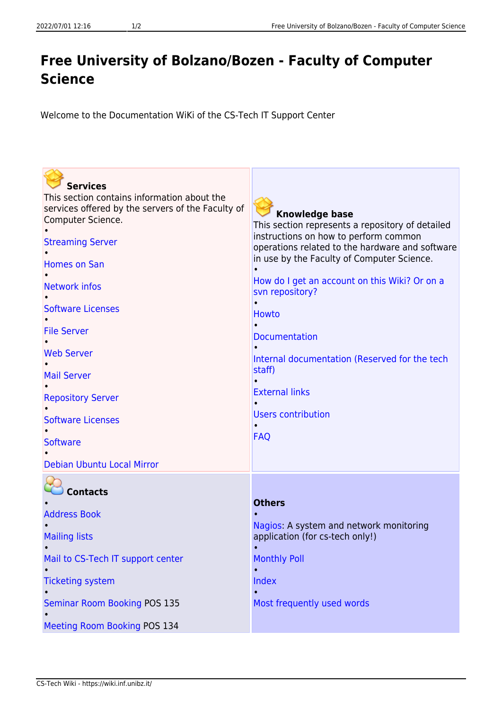## **Free University of Bolzano/Bozen - Faculty of Computer Science**

Welcome to the Documentation WiKi of the CS-Tech IT Support Center

| <b>Services</b>                                                        |                                                                                          |
|------------------------------------------------------------------------|------------------------------------------------------------------------------------------|
| This section contains information about the                            |                                                                                          |
| services offered by the servers of the Faculty of<br>Computer Science. | <b>Knowledge base</b>                                                                    |
|                                                                        | This section represents a repository of detailed                                         |
| <b>Streaming Server</b>                                                | instructions on how to perform common<br>operations related to the hardware and software |
|                                                                        | in use by the Faculty of Computer Science.                                               |
| <b>Homes on San</b>                                                    |                                                                                          |
| <b>Network infos</b>                                                   | How do I get an account on this Wiki? Or on a<br>svn repository?                         |
| <b>Software Licenses</b>                                               | Howto                                                                                    |
| <b>File Server</b>                                                     |                                                                                          |
|                                                                        | <b>Documentation</b>                                                                     |
| <b>Web Server</b>                                                      | Internal documentation (Reserved for the tech                                            |
| <b>Mail Server</b>                                                     | staff)                                                                                   |
|                                                                        | <b>External links</b>                                                                    |
| <b>Repository Server</b>                                               |                                                                                          |
| <b>Software Licenses</b>                                               | <b>Users contribution</b>                                                                |
|                                                                        |                                                                                          |
| <b>Software</b>                                                        | <b>FAQ</b>                                                                               |
| Debian Ubuntu Local Mirror                                             |                                                                                          |
|                                                                        |                                                                                          |
| <b>Contacts</b>                                                        |                                                                                          |
|                                                                        | <b>Others</b>                                                                            |
| <b>Address Book</b>                                                    |                                                                                          |
| <b>Mailing lists</b>                                                   | Nagios: A system and network monitoring<br>application (for cs-tech only!)               |
| Mail to CS-Tech IT support center                                      | <b>Monthly Poll</b>                                                                      |
| <b>Ticketing system</b>                                                | Index                                                                                    |
|                                                                        |                                                                                          |
| <b>Seminar Room Booking POS 135</b>                                    | Most frequently used words                                                               |
| Meeting Room Booking POS 134                                           |                                                                                          |